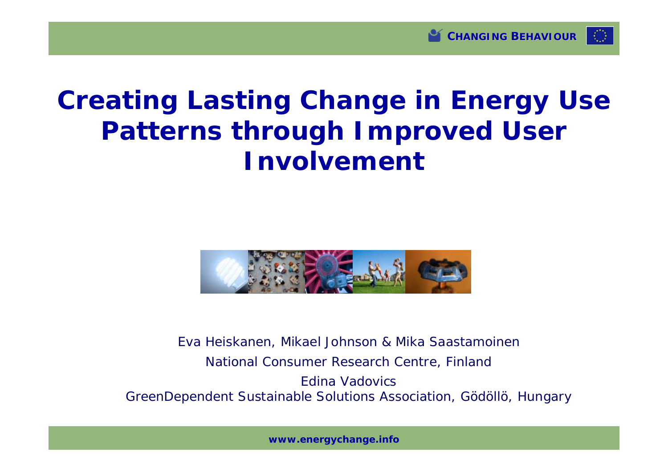

# **Creating Lasting Change in Energy Use Patterns through Improved User Involvement**



Eva Heiskanen, Mikael Johnson & Mika Saastamoinen National Consumer Research Centre, Finland Edina Vadovics GreenDependent Sustainable Solutions Association, Gödöllö, Hungary

**www.energychange.info**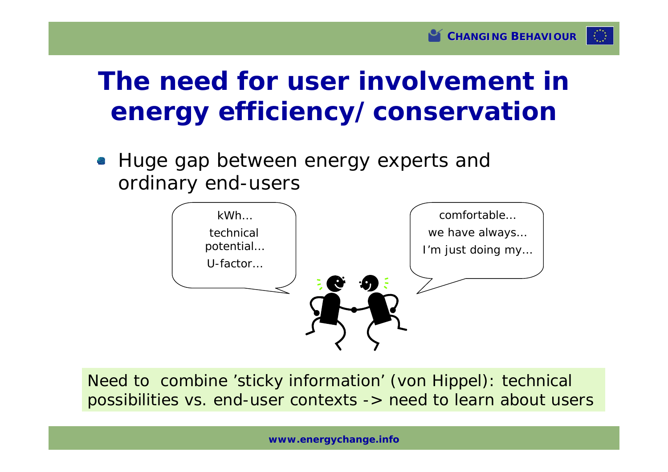# **The need for user involvement in energy efficiency/conservation**

• Huge gap between energy experts and ordinary end-users



Need to combine 'sticky information' (von Hippel): technical possibilities vs. end-user contexts -> need to learn about users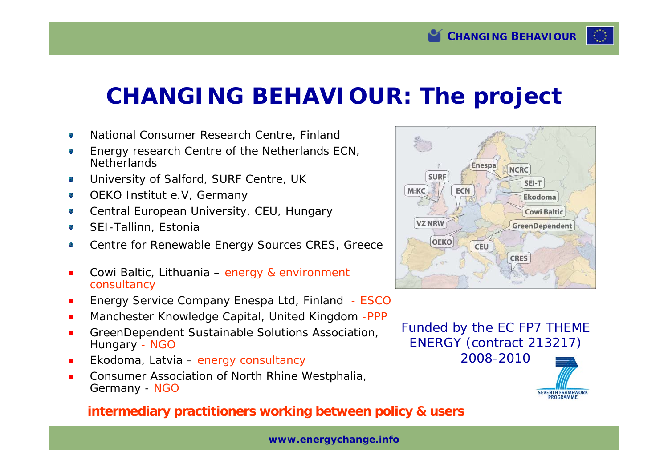### **CHANGING BEHAVIOUR: The project**

- National Consumer Research Centre, Finland
- Energy research Centre of the Netherlands ECN, **Netherlands**
- University of Salford, SURF Centre, UK
- OEKO Institut e.V, Germany
- Central European University, CEU, Hungary
- SEI-Tallinn, Estonia
- Centre for Renewable Energy Sources CRES, Greece
- Cowi Baltic, Lithuania energy & environment consultancy
- Energy Service Company Enespa Ltd, Finland ESCO
- Manchester Knowledge Capital, United Kingdom -PPP
- GreenDependent Sustainable Solutions Association, Hungary - NGO
- Ekodoma, Latvia energy consultancy
- Consumer Association of North Rhine Westphalia, Germany - NGO

#### **intermediary practitioners working between policy & users**

**www.energychange.info**



Funded by the EC FP7 THEME ENERGY (contract 213217) 2008-2010



SEVENTH FRAMEWORK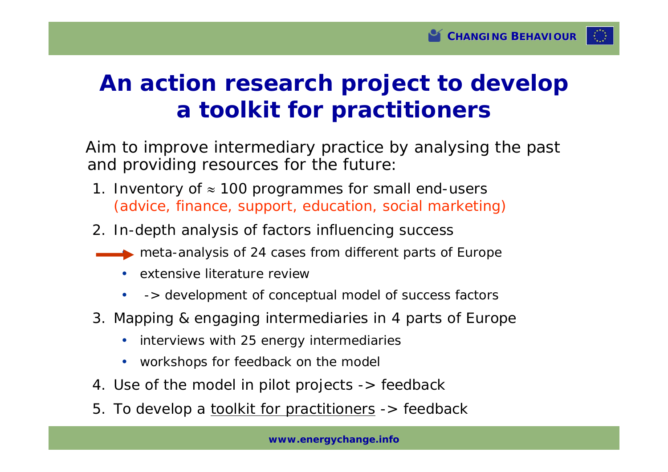

### **An action research project to develop a toolkit for practitioners**

Aim to improve intermediary practice by analysing the past and providing resources for the future:

- 1. Inventory of  $\approx$  100 programmes for small end-users (advice, finance, support, education, social marketing)
- 2. In-depth analysis of factors influencing success
	- meta-analysis of 24 cases from different parts of Europe
		- extensive literature review
		- -> development of conceptual model of success factors
- 3. Mapping & engaging intermediaries in 4 parts of Europe
	- interviews with 25 energy intermediaries
	- workshops for feedback on the model
- 4. Use of the model in pilot projects -> feedback
- 5. To develop a toolkit for practitioners -> feedback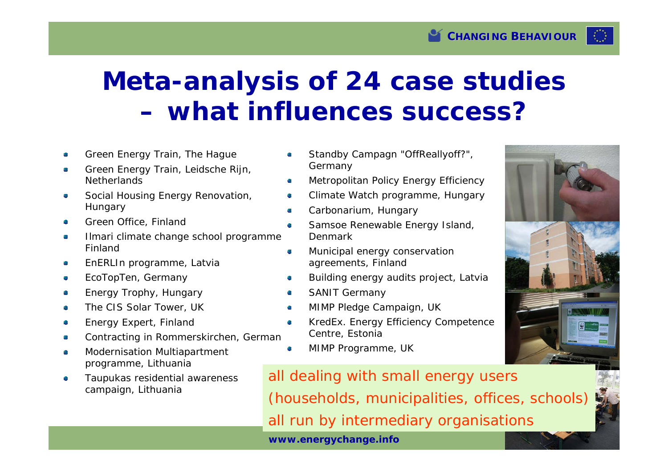# **Meta-analysis of 24 case studies – what influences success?**

- Green Energy Train, The Hague
- Green Energy Train, Leidsche Rijn, **Netherlands**
- Social Housing Energy Renovation, Hungary
- Green Office, Finland
- Ilmari climate change school programme, Finland
- EnERLIn programme, Latvia
- EcoTopTen, Germany
- Energy Trophy, Hungary
- The CIS Solar Tower, UK
- Energy Expert, Finland
- Contracting in Rommerskirchen, German
- Modernisation Multiapartment programme, Lithuania
- Taupukas residential awareness campaign, Lithuania
- Standby Campagn "OffReallyoff?", Germany
- Metropolitan Policy Energy Efficiency d)
- Climate Watch programme, Hungary G
- Carbonarium, Hungary e.
- Samsoe Renewable Energy Island, a. Denmark
- Municipal energy conservation Ø agreements, Finland
- Building energy audits project, Latvia
- SANIT Germany Ø
- MIMP Pledge Campaign, UK Ø.
- KredEx. Energy Efficiency Competence **College** Centre, Estonia
- MIMP Programme, UK **A**

**www.energychange.info** all dealing with small energy users (households, municipalities, offices, schools) all run by intermediary organisations

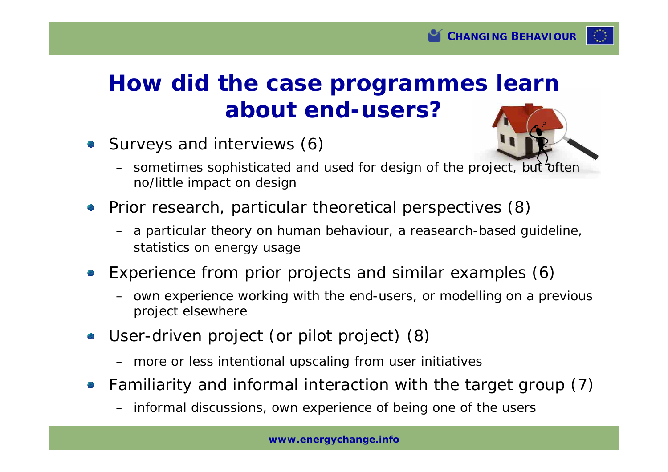## **How did the case programmes learn about end-users?**

Surveys and interviews (6)



- sometimes sophisticated and used for design of the project, but often no/little impact on design
- Prior research, particular theoretical perspectives (8)
	- a particular theory on human behaviour, a reasearch-based guideline, statistics on energy usage
- Experience from prior projects and similar examples (6)
	- own experience working with the end-users, or modelling on a previous project elsewhere
- User-driven project (or pilot project) (8)
	- more or less intentional upscaling from user initiatives
- Familiarity and informal interaction with the target group (7)
	- informal discussions, own experience of being one of the users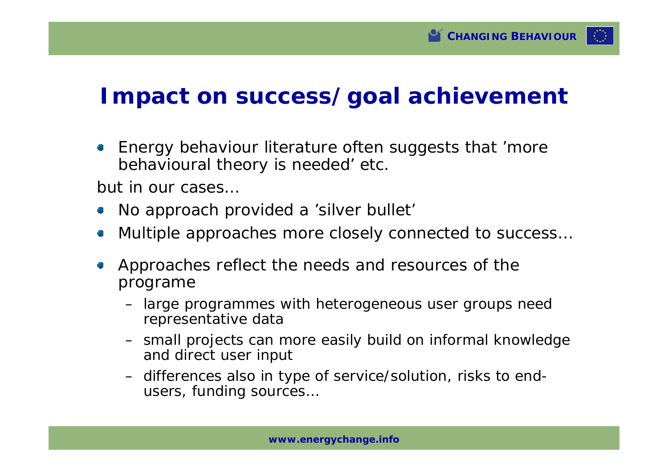

#### **Impact on success/goal achievement**

Energy behaviour literature often suggests that 'more 43 behavioural theory is needed' etc.

but in our cases…

- No approach provided a 'silver bullet'
- Multiple approaches more closely connected to success… 奥
- Approaches reflect the needs and resources of the  $\mathcal{L}_{\mathcal{A}}$ programe
	- large programmes with heterogeneous user groups need representative data
	- small projects can more easily build on informal knowledge and direct user input
	- differences also in type of service/solution, risks to endusers, funding sources…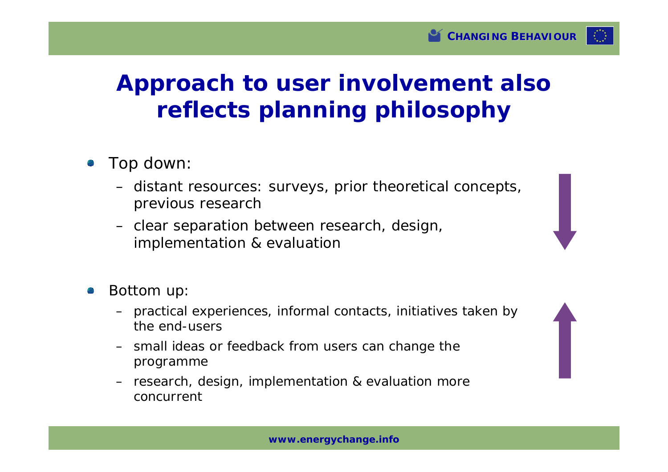### **Approach to user involvement also reflects planning philosophy**

- Top down:
	- distant resources: surveys, prior theoretical concepts, previous research
	- clear separation between research, design, implementation & evaluation
- Bottom up:
	- practical experiences, informal contacts, initiatives taken by the end-users
	- small ideas or feedback from users can change the programme
	- research, design, implementation & evaluation more concurrent

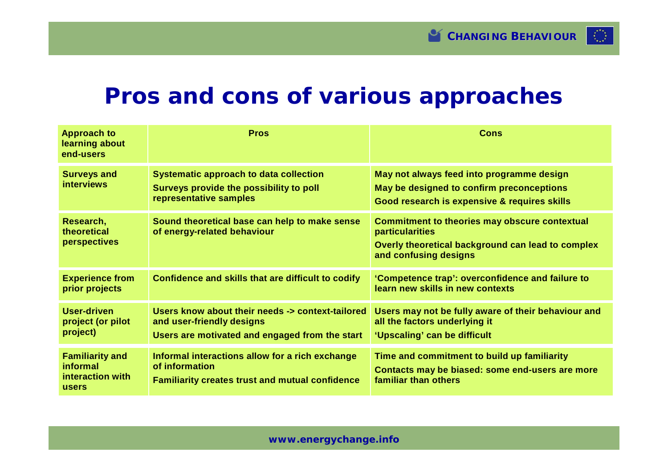

#### **Pros and cons of various approaches**

| <b>Approach to</b><br>learning about<br>end-users               | <b>Pros</b>                                                                                                                     | Cons                                                                                                                                                         |
|-----------------------------------------------------------------|---------------------------------------------------------------------------------------------------------------------------------|--------------------------------------------------------------------------------------------------------------------------------------------------------------|
| <b>Surveys and</b><br><b>interviews</b>                         | <b>Systematic approach to data collection</b><br>Surveys provide the possibility to poll<br>representative samples              | May not always feed into programme design<br>May be designed to confirm preconceptions<br>Good research is expensive & requires skills                       |
| Research,<br>theoretical<br><b>perspectives</b>                 | Sound theoretical base can help to make sense<br>of energy-related behaviour                                                    | <b>Commitment to theories may obscure contextual</b><br><b>particularities</b><br>Overly theoretical background can lead to complex<br>and confusing designs |
| <b>Experience from</b><br>prior projects                        | Confidence and skills that are difficult to codify                                                                              | 'Competence trap': overconfidence and failure to<br>learn new skills in new contexts                                                                         |
| <b>User-driven</b><br>project (or pilot<br>project)             | Users know about their needs -> context-tailored<br>and user-friendly designs<br>Users are motivated and engaged from the start | Users may not be fully aware of their behaviour and<br>all the factors underlying it<br>'Upscaling' can be difficult                                         |
| <b>Familiarity and</b><br>informal<br>interaction with<br>users | Informal interactions allow for a rich exchange<br>of information<br><b>Familiarity creates trust and mutual confidence</b>     | Time and commitment to build up familiarity<br>Contacts may be biased: some end-users are more<br>familiar than others                                       |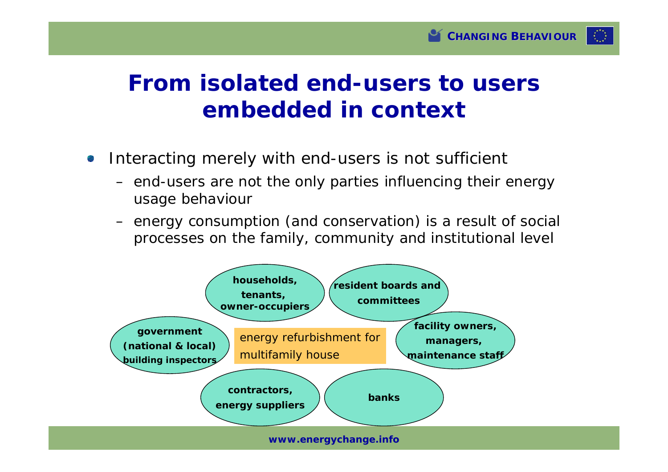

#### **From isolated end-users to users embedded in context**

- Interacting merely with end-users is not sufficient
	- end-users are not the only parties influencing their energy usage behaviour
	- energy consumption (and conservation) is a result of social processes on the family, community and institutional level



**www.energychange.info**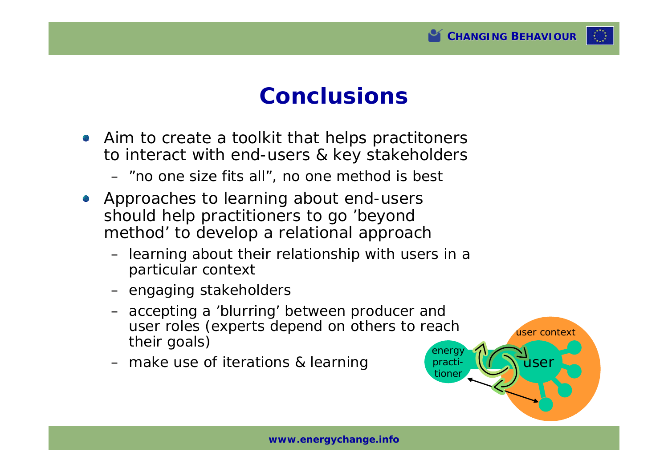

user context

user

practitioner

#### **Conclusions**

- Aim to create a toolkit that helps practitoners to interact with end-users & key stakeholders
	- "no one size fits all", no one method is best
- Approaches to learning about end-users should help practitioners to go 'beyond method' to develop a relational approach
	- learning about their relationship with users in a particular context
	- engaging stakeholders
	- energ – accepting a 'blurring' between producer and user roles (experts depend on others to reach their goals)
	- make use of iterations & learning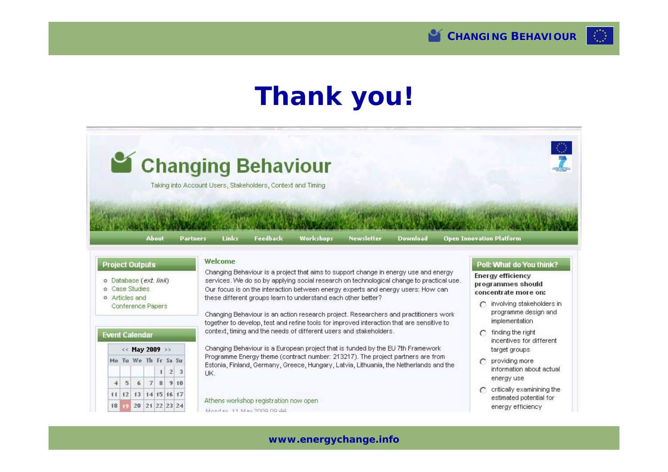# **Thank you!**



- o Database (ext. link)
- o Case Studies
- o Articles and Conference Papers

Changing Behaviour is a project that aims to support change in energy use and energy services. We do so by applying social research on technological change to practical use. Our focus is on the interaction between energy experts and energy users: How can these different groups learn to understand each other better?

Changing Behaviour is an action research project. Researchers and practitioners work together to develop, test and refine tools for improved interaction that are sensitive to context, timing and the needs of different users and stakeholders.

#### **Event Calendar**

| << May 2009 >> |  |                      |  |     |  |  |  |
|----------------|--|----------------------|--|-----|--|--|--|
|                |  | Mo Tu We Th Fr Sa Su |  |     |  |  |  |
|                |  |                      |  | 123 |  |  |  |
|                |  | 4 5 6 7 8 9 10       |  |     |  |  |  |
|                |  | 11 12 13 14 15 16 17 |  |     |  |  |  |
|                |  | 18 19 20 21 22 23 24 |  |     |  |  |  |

Changing Behaviour is a European project that is funded by the EU 7th Framework Programme Energy theme (contract number: 213217). The project partners are from Estonia, Finland, Germany, Greece, Hungary, Latvia, Lithuania, the Netherlands and the LIK.

Athens workshop registration now open

Monday, 11 May 2009 09:44

**Energy efficiency** programmes should concentrate more on:

- $\cap$  involving stakeholders in programme design and implementation
- $\cap$  finding the right incentives for different target groups
- $\cap$  providing more information about actual energy use
- $\bigcap$  critically examinining the estimated potential for energy efficiency

#### **www.energychange.info**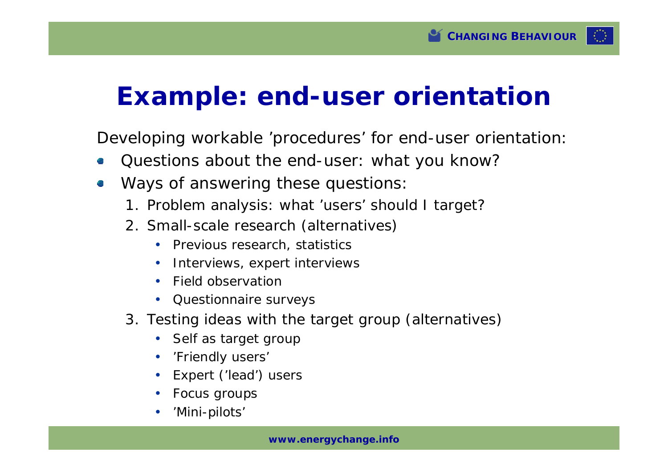

## **Example: end-user orientation**

Developing workable 'procedures' for end-user orientation:

- Questions about the end-user: what you know?
- Ways of answering these questions:
	- 1. Problem analysis: what 'users' should I target?
	- 2. Small-scale research (alternatives)
		- Previous research, statistics
		- Interviews, expert interviews
		- Field observation
		- Questionnaire surveys
	- 3. Testing ideas with the target group (alternatives)
		- Self as target group
		- 'Friendly users'
		- Expert ('lead') users
		- Focus groups
		- 'Mini-pilots'